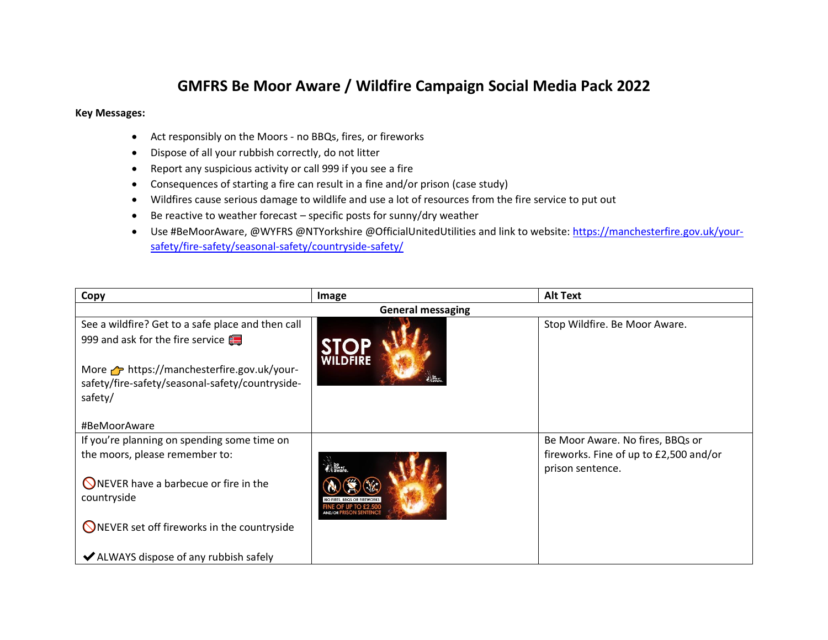## **GMFRS Be Moor Aware / Wildfire Campaign Social Media Pack 2022**

## **Key Messages:**

- Act responsibly on the Moors no BBQs, fires, or fireworks
- Dispose of all your rubbish correctly, do not litter
- Report any suspicious activity or call 999 if you see a fire
- Consequences of starting a fire can result in a fine and/or prison (case study)
- Wildfires cause serious damage to wildlife and use a lot of resources from the fire service to put out
- Be reactive to weather forecast specific posts for sunny/dry weather
- Use #BeMoorAware, @WYFRS @NTYorkshire @OfficialUnitedUtilities and link to website: [https://manchesterfire.gov.uk/your](https://manchesterfire.gov.uk/your-safety/fire-safety/seasonal-safety/countryside-safety/)[safety/fire-safety/seasonal-safety/countryside-safety/](https://manchesterfire.gov.uk/your-safety/fire-safety/seasonal-safety/countryside-safety/)

| Copy                                                   | Image           | <b>Alt Text</b>                        |  |
|--------------------------------------------------------|-----------------|----------------------------------------|--|
| <b>General messaging</b>                               |                 |                                        |  |
| See a wildfire? Get to a safe place and then call      |                 | Stop Wildfire. Be Moor Aware.          |  |
| 999 and ask for the fire service                       |                 |                                        |  |
| More $\rightarrow$ https://manchesterfire.gov.uk/your- | <b>WILDFIRE</b> |                                        |  |
| safety/fire-safety/seasonal-safety/countryside-        |                 |                                        |  |
| safety/                                                |                 |                                        |  |
|                                                        |                 |                                        |  |
| #BeMoorAware                                           |                 |                                        |  |
| If you're planning on spending some time on            |                 | Be Moor Aware. No fires, BBQs or       |  |
| the moors, please remember to:                         |                 | fireworks. Fine of up to £2,500 and/or |  |
|                                                        | ⊠ neor          | prison sentence.                       |  |
| <b>ONEVER</b> have a barbecue or fire in the           |                 |                                        |  |
| countryside                                            |                 |                                        |  |
|                                                        |                 |                                        |  |
| <b>ONEVER set off fireworks in the countryside</b>     |                 |                                        |  |
|                                                        |                 |                                        |  |
| ◆ ALWAYS dispose of any rubbish safely                 |                 |                                        |  |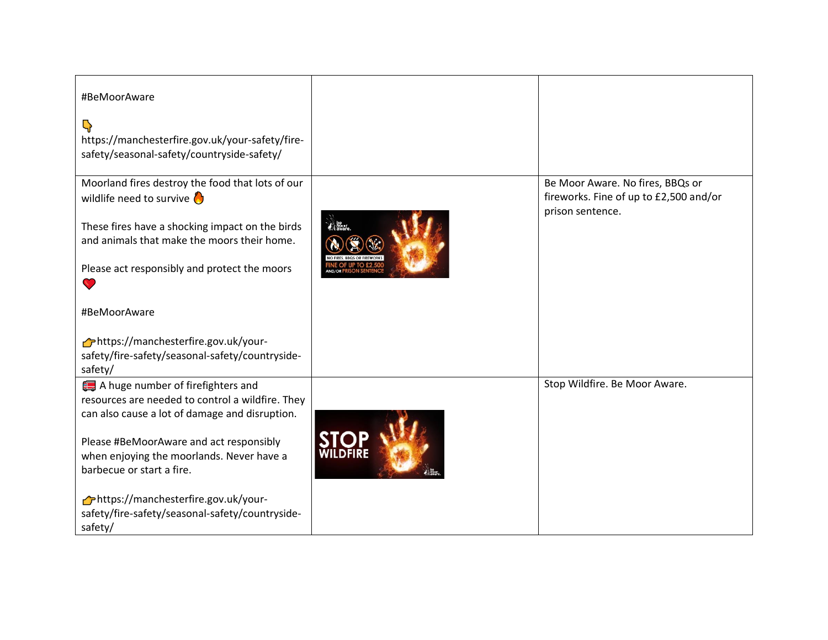| #BeMoorAware<br>$\mathbb{Q}$<br>https://manchesterfire.gov.uk/your-safety/fire-<br>safety/seasonal-safety/countryside-safety/                                                                                                                                |                                                                                                |
|--------------------------------------------------------------------------------------------------------------------------------------------------------------------------------------------------------------------------------------------------------------|------------------------------------------------------------------------------------------------|
| Moorland fires destroy the food that lots of our<br>wildlife need to survive $\bigcirc$<br>These fires have a shocking impact on the birds<br>and animals that make the moors their home.<br>Please act responsibly and protect the moors<br>$\bullet$       | Be Moor Aware. No fires, BBQs or<br>fireworks. Fine of up to £2,500 and/or<br>prison sentence. |
| #BeMoorAware<br>https://manchesterfire.gov.uk/your-<br>safety/fire-safety/seasonal-safety/countryside-<br>safety/                                                                                                                                            |                                                                                                |
| A huge number of firefighters and<br>resources are needed to control a wildfire. They<br>can also cause a lot of damage and disruption.<br>Please #BeMoorAware and act responsibly<br>when enjoying the moorlands. Never have a<br>barbecue or start a fire. | Stop Wildfire. Be Moor Aware.                                                                  |
| https://manchesterfire.gov.uk/your-<br>safety/fire-safety/seasonal-safety/countryside-<br>safety/                                                                                                                                                            |                                                                                                |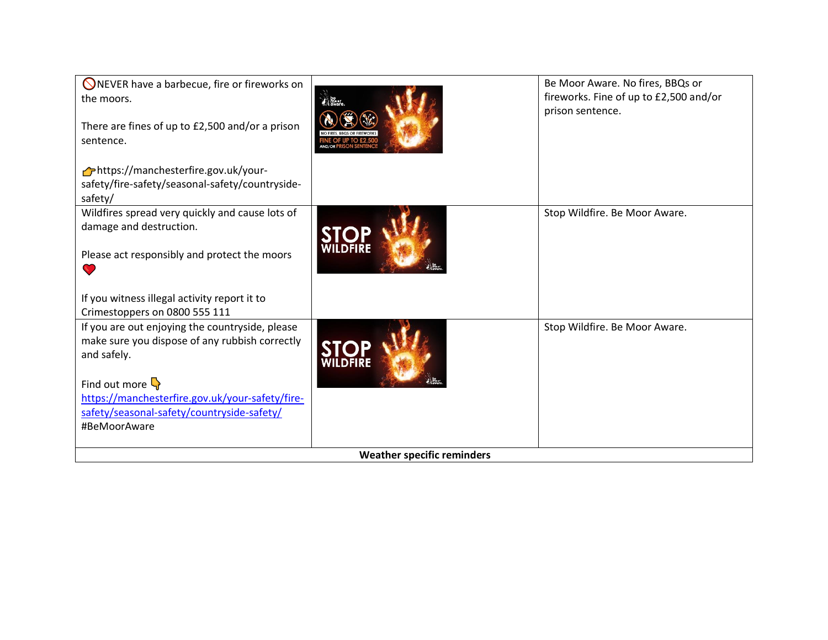| <b>ONEVER have a barbecue, fire or fireworks on</b><br>the moors.<br>There are fines of up to £2,500 and/or a prison<br>sentence. | <b>Read</b> Read<br>NO FIRES, BBQS OR FIREWORK | Be Moor Aware. No fires, BBQs or<br>fireworks. Fine of up to £2,500 and/or<br>prison sentence. |
|-----------------------------------------------------------------------------------------------------------------------------------|------------------------------------------------|------------------------------------------------------------------------------------------------|
| https://manchesterfire.gov.uk/your-<br>safety/fire-safety/seasonal-safety/countryside-<br>safety/                                 |                                                |                                                                                                |
| Wildfires spread very quickly and cause lots of<br>damage and destruction.                                                        |                                                | Stop Wildfire. Be Moor Aware.                                                                  |
| Please act responsibly and protect the moors<br>N.                                                                                |                                                |                                                                                                |
| If you witness illegal activity report it to<br>Crimestoppers on 0800 555 111                                                     |                                                |                                                                                                |
| If you are out enjoying the countryside, please<br>make sure you dispose of any rubbish correctly<br>and safely.                  |                                                | Stop Wildfire. Be Moor Aware.                                                                  |
| Find out more $\mathbb{Q}$                                                                                                        |                                                |                                                                                                |
| https://manchesterfire.gov.uk/your-safety/fire-<br>safety/seasonal-safety/countryside-safety/                                     |                                                |                                                                                                |
| #BeMoorAware                                                                                                                      |                                                |                                                                                                |
| <b>Weather specific reminders</b>                                                                                                 |                                                |                                                                                                |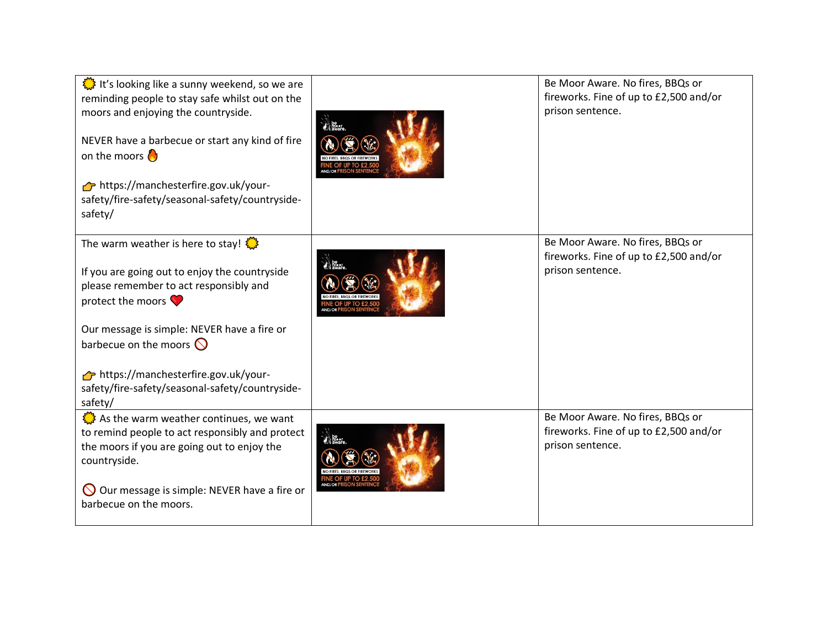| It's looking like a sunny weekend, so we are<br>reminding people to stay safe whilst out on the<br>moors and enjoying the countryside.<br>NEVER have a barbecue or start any kind of fire<br>on the moors $\bigcirc$<br>https://manchesterfire.gov.uk/your-<br>safety/fire-safety/seasonal-safety/countryside-<br>safety/                                             | Be Moor Aware. No fires, BBQs or<br>fireworks. Fine of up to £2,500 and/or<br>prison sentence. |
|-----------------------------------------------------------------------------------------------------------------------------------------------------------------------------------------------------------------------------------------------------------------------------------------------------------------------------------------------------------------------|------------------------------------------------------------------------------------------------|
| The warm weather is here to stay! $\frac{160}{100}$<br>If you are going out to enjoy the countryside<br>please remember to act responsibly and<br>protect the moors $\bullet$<br>Our message is simple: NEVER have a fire or<br>barbecue on the moors $\bigcirc$<br>https://manchesterfire.gov.uk/your-<br>safety/fire-safety/seasonal-safety/countryside-<br>safety/ | Be Moor Aware. No fires, BBQs or<br>fireworks. Fine of up to £2,500 and/or<br>prison sentence. |
| As the warm weather continues, we want<br>to remind people to act responsibly and protect<br>the moors if you are going out to enjoy the<br>countryside.<br>$\bigcirc$ Our message is simple: NEVER have a fire or<br>barbecue on the moors.                                                                                                                          | Be Moor Aware. No fires, BBQs or<br>fireworks. Fine of up to £2,500 and/or<br>prison sentence. |